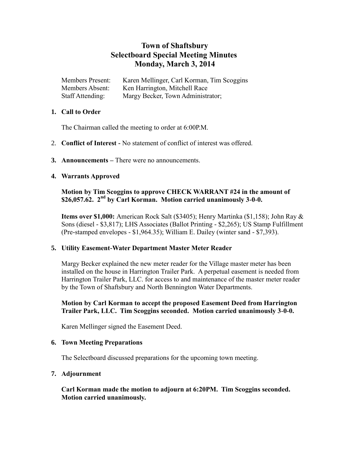# **Town of Shaftsbury Selectboard Special Meeting Minutes Monday, March 3, 2014**

| <b>Members Present:</b> | Karen Mellinger, Carl Korman, Tim Scoggins |
|-------------------------|--------------------------------------------|
| Members Absent:         | Ken Harrington, Mitchell Race              |
| Staff Attending:        | Margy Becker, Town Administrator;          |

#### **1. Call to Order**

The Chairman called the meeting to order at 6:00P.M.

- 2. **Conflict of Interest -** No statement of conflict of interest was offered.
- **3. Announcements –** There were no announcements.

## **4. Warrants Approved**

# **Motion by Tim Scoggins to approve CHECK WARRANT #24 in the amount of \$26,057.62. 2 nd by Carl Korman. Motion carried unanimously 3-0-0.**

**Items over \$1,000:** American Rock Salt (\$3405); Henry Martinka (\$1,158); John Ray & Sons (diesel - \$3,817); LHS Associates (Ballot Printing - \$2,265); US Stamp Fulfillment (Pre-stamped envelopes - \$1,964.35); William E. Dailey (winter sand - \$7,393).

#### **5. Utility Easement-Water Department Master Meter Reader**

Margy Becker explained the new meter reader for the Village master meter has been installed on the house in Harrington Trailer Park. A perpetual easement is needed from Harrington Trailer Park, LLC. for access to and maintenance of the master meter reader by the Town of Shaftsbury and North Bennington Water Departments.

## **Motion by Carl Korman to accept the proposed Easement Deed from Harrington Trailer Park, LLC. Tim Scoggins seconded. Motion carried unanimously 3-0-0.**

Karen Mellinger signed the Easement Deed.

#### **6. Town Meeting Preparations**

The Selectboard discussed preparations for the upcoming town meeting.

#### **7. Adjournment**

**Carl Korman made the motion to adjourn at 6:20PM. Tim Scoggins seconded. Motion carried unanimously.**